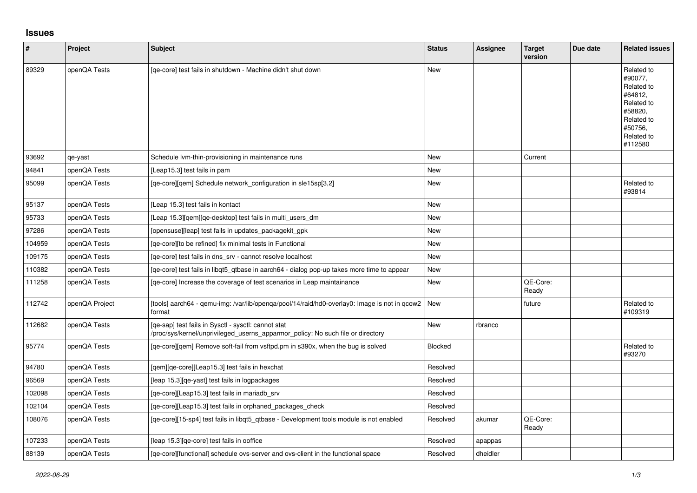## **Issues**

| $\vert$ # | Project        | Subject                                                                                                                                | <b>Status</b> | Assignee | <b>Target</b><br>version | Due date | <b>Related issues</b>                                                                                                     |
|-----------|----------------|----------------------------------------------------------------------------------------------------------------------------------------|---------------|----------|--------------------------|----------|---------------------------------------------------------------------------------------------------------------------------|
| 89329     | openQA Tests   | [qe-core] test fails in shutdown - Machine didn't shut down                                                                            | <b>New</b>    |          |                          |          | Related to<br>#90077,<br>Related to<br>#64812,<br>Related to<br>#58820.<br>Related to<br>#50756,<br>Related to<br>#112580 |
| 93692     | qe-yast        | Schedule Ivm-thin-provisioning in maintenance runs                                                                                     | <b>New</b>    |          | Current                  |          |                                                                                                                           |
| 94841     | openQA Tests   | [Leap15.3] test fails in pam                                                                                                           | <b>New</b>    |          |                          |          |                                                                                                                           |
| 95099     | openQA Tests   | [qe-core][qem] Schedule network_configuration in sle15sp[3,2]                                                                          | New           |          |                          |          | Related to<br>#93814                                                                                                      |
| 95137     | openQA Tests   | [Leap 15.3] test fails in kontact                                                                                                      | <b>New</b>    |          |                          |          |                                                                                                                           |
| 95733     | openQA Tests   | [Leap 15.3] [gem] [ge-desktop] test fails in multi users dm                                                                            | <b>New</b>    |          |                          |          |                                                                                                                           |
| 97286     | openQA Tests   | [opensuse][leap] test fails in updates_packagekit_gpk                                                                                  | <b>New</b>    |          |                          |          |                                                                                                                           |
| 104959    | openQA Tests   | [qe-core][to be refined] fix minimal tests in Functional                                                                               | New           |          |                          |          |                                                                                                                           |
| 109175    | openQA Tests   | [qe-core] test fails in dns_srv - cannot resolve localhost                                                                             | New           |          |                          |          |                                                                                                                           |
| 110382    | openQA Tests   | [qe-core] test fails in libqt5_qtbase in aarch64 - dialog pop-up takes more time to appear                                             | New           |          |                          |          |                                                                                                                           |
| 111258    | openQA Tests   | [qe-core] Increase the coverage of test scenarios in Leap maintainance                                                                 | <b>New</b>    |          | QE-Core:<br>Ready        |          |                                                                                                                           |
| 112742    | openQA Project | [tools] aarch64 - qemu-img: /var/lib/openqa/pool/14/raid/hd0-overlay0: Image is not in qcow2<br>format                                 | <b>New</b>    |          | future                   |          | Related to<br>#109319                                                                                                     |
| 112682    | openQA Tests   | [qe-sap] test fails in Sysctl - sysctl: cannot stat<br>/proc/sys/kernel/unprivileged_userns_apparmor_policy: No such file or directory | <b>New</b>    | rbranco  |                          |          |                                                                                                                           |
| 95774     | openQA Tests   | [ge-core][gem] Remove soft-fail from vsftpd.pm in s390x, when the bug is solved                                                        | Blocked       |          |                          |          | Related to<br>#93270                                                                                                      |
| 94780     | openQA Tests   | [qem][qe-core][Leap15.3] test fails in hexchat                                                                                         | Resolved      |          |                          |          |                                                                                                                           |
| 96569     | openQA Tests   | [leap 15.3] [qe-yast] test fails in logpackages                                                                                        | Resolved      |          |                          |          |                                                                                                                           |
| 102098    | openQA Tests   | [ge-core][Leap15.3] test fails in mariadb srv                                                                                          | Resolved      |          |                          |          |                                                                                                                           |
| 102104    | openQA Tests   | [qe-core][Leap15.3] test fails in orphaned_packages_check                                                                              | Resolved      |          |                          |          |                                                                                                                           |
| 108076    | openQA Tests   | [qe-core][15-sp4] test fails in libqt5_qtbase - Development tools module is not enabled                                                | Resolved      | akumar   | QE-Core:<br>Ready        |          |                                                                                                                           |
| 107233    | openQA Tests   | [leap 15.3][qe-core] test fails in ooffice                                                                                             | Resolved      | apappas  |                          |          |                                                                                                                           |
| 88139     | openQA Tests   | [ge-core][functional] schedule ovs-server and ovs-client in the functional space                                                       | Resolved      | dheidler |                          |          |                                                                                                                           |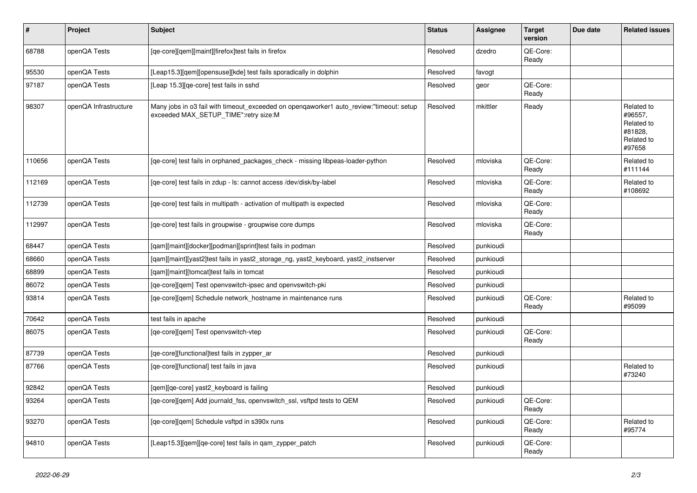| $\pmb{\#}$ | Project               | <b>Subject</b>                                                                                                                   | <b>Status</b> | Assignee  | <b>Target</b><br>version | Due date | <b>Related issues</b>                                                  |
|------------|-----------------------|----------------------------------------------------------------------------------------------------------------------------------|---------------|-----------|--------------------------|----------|------------------------------------------------------------------------|
| 68788      | openQA Tests          | [qe-core][qem][maint][firefox]test fails in firefox                                                                              | Resolved      | dzedro    | OE-Core:<br>Ready        |          |                                                                        |
| 95530      | openQA Tests          | [Leap15.3][gem][opensuse][kde] test fails sporadically in dolphin                                                                | Resolved      | favogt    |                          |          |                                                                        |
| 97187      | openQA Tests          | [Leap 15.3][qe-core] test fails in sshd                                                                                          | Resolved      | geor      | QE-Core:<br>Ready        |          |                                                                        |
| 98307      | openQA Infrastructure | Many jobs in o3 fail with timeout exceeded on opengaworker1 auto review:"timeout: setup<br>exceeded MAX_SETUP_TIME":retry size:M | Resolved      | mkittler  | Ready                    |          | Related to<br>#96557,<br>Related to<br>#81828,<br>Related to<br>#97658 |
| 110656     | openQA Tests          | [ge-core] test fails in orphaned packages check - missing libpeas-loader-python                                                  | Resolved      | mloviska  | QE-Core:<br>Ready        |          | Related to<br>#111144                                                  |
| 112169     | openQA Tests          | [ge-core] test fails in zdup - ls: cannot access /dev/disk/by-label                                                              | Resolved      | mloviska  | QE-Core:<br>Ready        |          | Related to<br>#108692                                                  |
| 112739     | openQA Tests          | [qe-core] test fails in multipath - activation of multipath is expected                                                          | Resolved      | mloviska  | QE-Core:<br>Ready        |          |                                                                        |
| 112997     | openQA Tests          | [ge-core] test fails in groupwise - groupwise core dumps                                                                         | Resolved      | mloviska  | QE-Core:<br>Ready        |          |                                                                        |
| 68447      | openQA Tests          | [qam][maint][docker][podman][sprint]test fails in podman                                                                         | Resolved      | punkioudi |                          |          |                                                                        |
| 68660      | openQA Tests          | [qam][maint][yast2]test fails in yast2_storage_ng, yast2_keyboard, yast2_instserver                                              | Resolved      | punkioudi |                          |          |                                                                        |
| 68899      | openQA Tests          | [gam][maint][tomcat]test fails in tomcat                                                                                         | Resolved      | punkioudi |                          |          |                                                                        |
| 86072      | openQA Tests          | [ge-core][gem] Test openvswitch-ipsec and openvswitch-pki                                                                        | Resolved      | punkioudi |                          |          |                                                                        |
| 93814      | openQA Tests          | [qe-core][qem] Schedule network_hostname in maintenance runs                                                                     | Resolved      | punkioudi | QE-Core:<br>Ready        |          | Related to<br>#95099                                                   |
| 70642      | openQA Tests          | test fails in apache                                                                                                             | Resolved      | punkioudi |                          |          |                                                                        |
| 86075      | openQA Tests          | [qe-core][qem] Test openvswitch-vtep                                                                                             | Resolved      | punkioudi | QE-Core:<br>Ready        |          |                                                                        |
| 87739      | openQA Tests          | [ge-core][functional]test fails in zypper ar                                                                                     | Resolved      | punkioudi |                          |          |                                                                        |
| 87766      | openQA Tests          | [ge-core][functional] test fails in java                                                                                         | Resolved      | punkioudi |                          |          | Related to<br>#73240                                                   |
| 92842      | openQA Tests          | [qem][qe-core] yast2_keyboard is failing                                                                                         | Resolved      | punkioudi |                          |          |                                                                        |
| 93264      | openQA Tests          | [qe-core][qem] Add journald_fss, openvswitch_ssl, vsftpd tests to QEM                                                            | Resolved      | punkioudi | QE-Core:<br>Ready        |          |                                                                        |
| 93270      | openQA Tests          | [qe-core][qem] Schedule vsftpd in s390x runs                                                                                     | Resolved      | punkioudi | QE-Core:<br>Ready        |          | Related to<br>#95774                                                   |
| 94810      | openQA Tests          | [Leap15.3] [gem] [ge-core] test fails in gam zypper patch                                                                        | Resolved      | punkioudi | QE-Core:<br>Ready        |          |                                                                        |